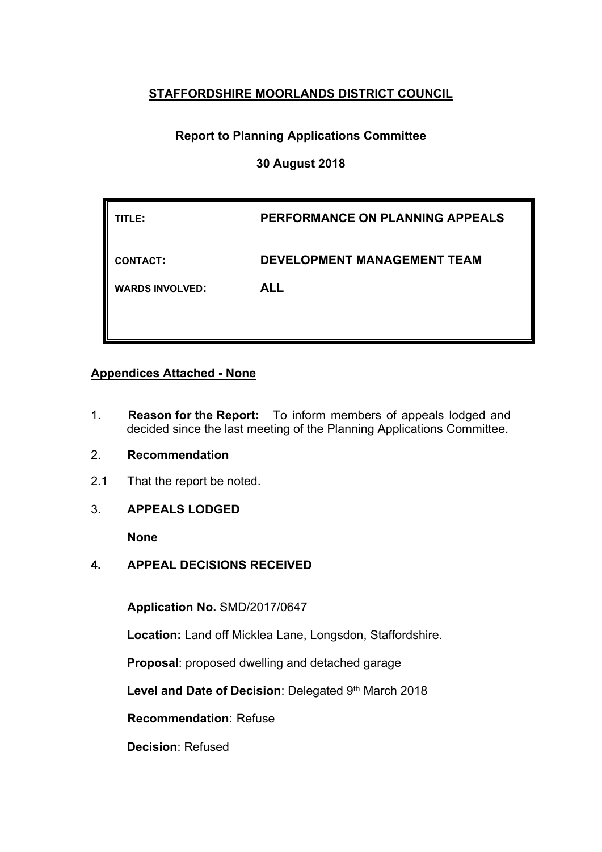## **STAFFORDSHIRE MOORLANDS DISTRICT COUNCIL**

# **Report to Planning Applications Committee**

### **30 August 2018**

| TITLE:                 | PERFORMANCE ON PLANNING APPEALS    |
|------------------------|------------------------------------|
| <b>CONTACT:</b>        | <b>DEVELOPMENT MANAGEMENT TEAM</b> |
| <b>WARDS INVOLVED:</b> | <b>ALL</b>                         |
|                        |                                    |

### **Appendices Attached - None**

- 1. **Reason for the Report:** To inform members of appeals lodged and decided since the last meeting of the Planning Applications Committee.
- 2. **Recommendation**
- 2.1 That the report be noted.
- 3. **APPEALS LODGED**

**None**

**4. APPEAL DECISIONS RECEIVED**

**Application No.** SMD/2017/0647

**Location:** Land off Micklea Lane, Longsdon, Staffordshire.

**Proposal**: proposed dwelling and detached garage

**Level and Date of Decision**: Delegated 9 th March 2018

**Recommendation**: Refuse

**Decision**: Refused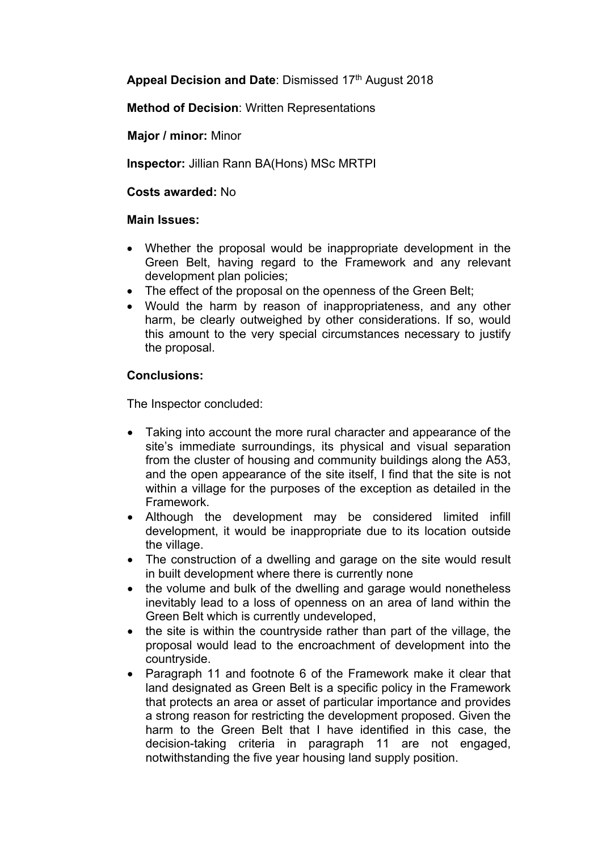**Appeal Decision and Date**: Dismissed 17th August 2018

**Method of Decision**: Written Representations

**Major / minor:** Minor

**Inspector:** Jillian Rann BA(Hons) MSc MRTPI

**Costs awarded:** No

#### **Main Issues:**

- Whether the proposal would be inappropriate development in the Green Belt, having regard to the Framework and any relevant development plan policies;
- The effect of the proposal on the openness of the Green Belt;
- Would the harm by reason of inappropriateness, and any other harm, be clearly outweighed by other considerations. If so, would this amount to the very special circumstances necessary to justify the proposal.

### **Conclusions:**

The Inspector concluded:

- Taking into account the more rural character and appearance of the site's immediate surroundings, its physical and visual separation from the cluster of housing and community buildings along the A53, and the open appearance of the site itself, I find that the site is not within a village for the purposes of the exception as detailed in the Framework.
- Although the development may be considered limited infill development, it would be inappropriate due to its location outside the village.
- The construction of a dwelling and garage on the site would result in built development where there is currently none
- the volume and bulk of the dwelling and garage would nonetheless inevitably lead to a loss of openness on an area of land within the Green Belt which is currently undeveloped,
- the site is within the countryside rather than part of the village, the proposal would lead to the encroachment of development into the countryside.
- Paragraph 11 and footnote 6 of the Framework make it clear that land designated as Green Belt is a specific policy in the Framework that protects an area or asset of particular importance and provides a strong reason for restricting the development proposed. Given the harm to the Green Belt that I have identified in this case, the decision-taking criteria in paragraph 11 are not engaged, notwithstanding the five year housing land supply position.